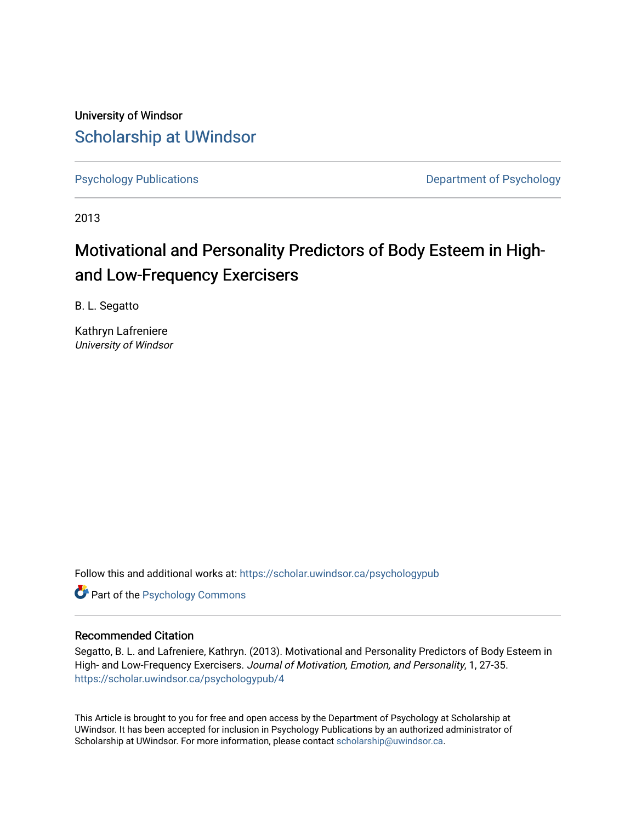University of Windsor [Scholarship at UWindsor](https://scholar.uwindsor.ca/) 

[Psychology Publications](https://scholar.uwindsor.ca/psychologypub) **Department of Psychology** 

2013

# Motivational and Personality Predictors of Body Esteem in Highand Low-Frequency Exercisers

B. L. Segatto

Kathryn Lafreniere University of Windsor

Follow this and additional works at: [https://scholar.uwindsor.ca/psychologypub](https://scholar.uwindsor.ca/psychologypub?utm_source=scholar.uwindsor.ca%2Fpsychologypub%2F4&utm_medium=PDF&utm_campaign=PDFCoverPages) 

**Part of the Psychology Commons** 

### Recommended Citation

Segatto, B. L. and Lafreniere, Kathryn. (2013). Motivational and Personality Predictors of Body Esteem in High- and Low-Frequency Exercisers. Journal of Motivation, Emotion, and Personality, 1, 27-35. [https://scholar.uwindsor.ca/psychologypub/4](https://scholar.uwindsor.ca/psychologypub/4?utm_source=scholar.uwindsor.ca%2Fpsychologypub%2F4&utm_medium=PDF&utm_campaign=PDFCoverPages) 

This Article is brought to you for free and open access by the Department of Psychology at Scholarship at UWindsor. It has been accepted for inclusion in Psychology Publications by an authorized administrator of Scholarship at UWindsor. For more information, please contact [scholarship@uwindsor.ca.](mailto:scholarship@uwindsor.ca)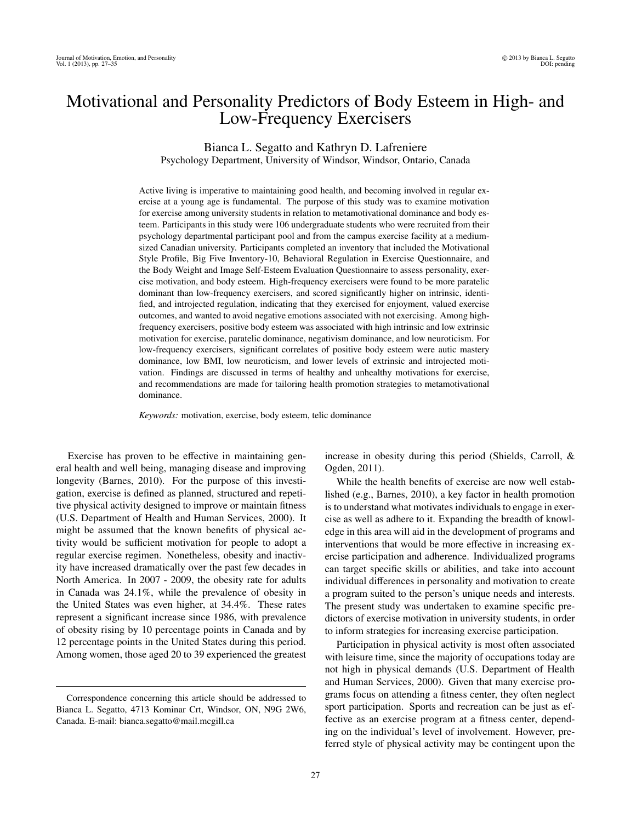## Motivational and Personality Predictors of Body Esteem in High- and Low-Frequency Exercisers

Bianca L. Segatto and Kathryn D. Lafreniere Psychology Department, University of Windsor, Windsor, Ontario, Canada

Active living is imperative to maintaining good health, and becoming involved in regular exercise at a young age is fundamental. The purpose of this study was to examine motivation for exercise among university students in relation to metamotivational dominance and body esteem. Participants in this study were 106 undergraduate students who were recruited from their psychology departmental participant pool and from the campus exercise facility at a mediumsized Canadian university. Participants completed an inventory that included the Motivational Style Profile, Big Five Inventory-10, Behavioral Regulation in Exercise Questionnaire, and the Body Weight and Image Self-Esteem Evaluation Questionnaire to assess personality, exercise motivation, and body esteem. High-frequency exercisers were found to be more paratelic dominant than low-frequency exercisers, and scored significantly higher on intrinsic, identified, and introjected regulation, indicating that they exercised for enjoyment, valued exercise outcomes, and wanted to avoid negative emotions associated with not exercising. Among highfrequency exercisers, positive body esteem was associated with high intrinsic and low extrinsic motivation for exercise, paratelic dominance, negativism dominance, and low neuroticism. For low-frequency exercisers, significant correlates of positive body esteem were autic mastery dominance, low BMI, low neuroticism, and lower levels of extrinsic and introjected motivation. Findings are discussed in terms of healthy and unhealthy motivations for exercise, and recommendations are made for tailoring health promotion strategies to metamotivational dominance.

*Keywords:* motivation, exercise, body esteem, telic dominance

Exercise has proven to be effective in maintaining general health and well being, managing disease and improving longevity (Barnes, 2010). For the purpose of this investigation, exercise is defined as planned, structured and repetitive physical activity designed to improve or maintain fitness (U.S. Department of Health and Human Services, 2000). It might be assumed that the known benefits of physical activity would be sufficient motivation for people to adopt a regular exercise regimen. Nonetheless, obesity and inactivity have increased dramatically over the past few decades in North America. In 2007 - 2009, the obesity rate for adults in Canada was 24.1%, while the prevalence of obesity in the United States was even higher, at 34.4%. These rates represent a significant increase since 1986, with prevalence of obesity rising by 10 percentage points in Canada and by 12 percentage points in the United States during this period. Among women, those aged 20 to 39 experienced the greatest

increase in obesity during this period (Shields, Carroll, & Ogden, 2011).

While the health benefits of exercise are now well established (e.g., Barnes, 2010), a key factor in health promotion is to understand what motivates individuals to engage in exercise as well as adhere to it. Expanding the breadth of knowledge in this area will aid in the development of programs and interventions that would be more effective in increasing exercise participation and adherence. Individualized programs can target specific skills or abilities, and take into account individual differences in personality and motivation to create a program suited to the person's unique needs and interests. The present study was undertaken to examine specific predictors of exercise motivation in university students, in order to inform strategies for increasing exercise participation.

Participation in physical activity is most often associated with leisure time, since the majority of occupations today are not high in physical demands (U.S. Department of Health and Human Services, 2000). Given that many exercise programs focus on attending a fitness center, they often neglect sport participation. Sports and recreation can be just as effective as an exercise program at a fitness center, depending on the individual's level of involvement. However, preferred style of physical activity may be contingent upon the

Correspondence concerning this article should be addressed to Bianca L. Segatto, 4713 Kominar Crt, Windsor, ON, N9G 2W6, Canada. E-mail: bianca.segatto@mail.mcgill.ca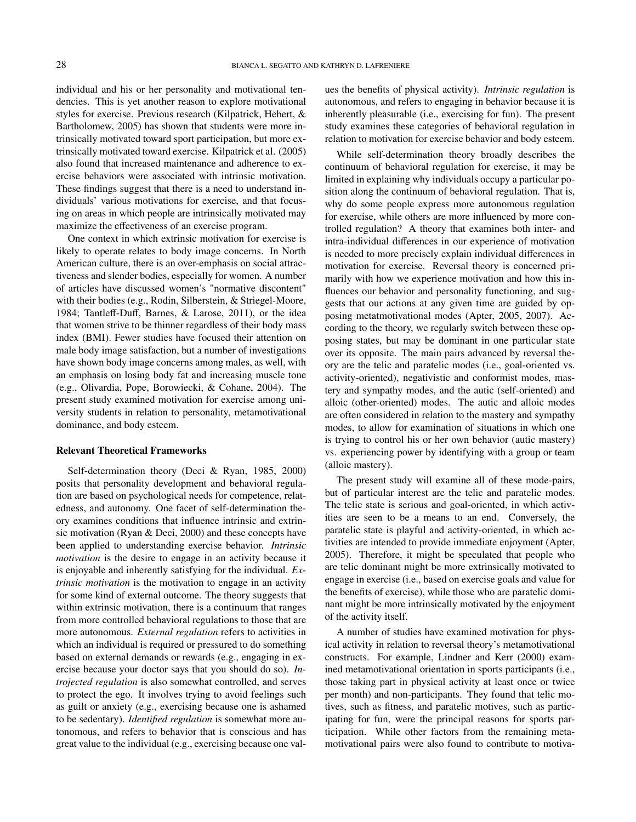individual and his or her personality and motivational tendencies. This is yet another reason to explore motivational styles for exercise. Previous research (Kilpatrick, Hebert, & Bartholomew, 2005) has shown that students were more intrinsically motivated toward sport participation, but more extrinsically motivated toward exercise. Kilpatrick et al. (2005) also found that increased maintenance and adherence to exercise behaviors were associated with intrinsic motivation. These findings suggest that there is a need to understand individuals' various motivations for exercise, and that focusing on areas in which people are intrinsically motivated may maximize the effectiveness of an exercise program.

One context in which extrinsic motivation for exercise is likely to operate relates to body image concerns. In North American culture, there is an over-emphasis on social attractiveness and slender bodies, especially for women. A number of articles have discussed women's "normative discontent" with their bodies (e.g., Rodin, Silberstein, & Striegel-Moore, 1984; Tantleff-Duff, Barnes, & Larose, 2011), or the idea that women strive to be thinner regardless of their body mass index (BMI). Fewer studies have focused their attention on male body image satisfaction, but a number of investigations have shown body image concerns among males, as well, with an emphasis on losing body fat and increasing muscle tone (e.g., Olivardia, Pope, Borowiecki, & Cohane, 2004). The present study examined motivation for exercise among university students in relation to personality, metamotivational dominance, and body esteem.

#### Relevant Theoretical Frameworks

Self-determination theory (Deci & Ryan, 1985, 2000) posits that personality development and behavioral regulation are based on psychological needs for competence, relatedness, and autonomy. One facet of self-determination theory examines conditions that influence intrinsic and extrinsic motivation (Ryan & Deci, 2000) and these concepts have been applied to understanding exercise behavior. *Intrinsic motivation* is the desire to engage in an activity because it is enjoyable and inherently satisfying for the individual. *Extrinsic motivation* is the motivation to engage in an activity for some kind of external outcome. The theory suggests that within extrinsic motivation, there is a continuum that ranges from more controlled behavioral regulations to those that are more autonomous. *External regulation* refers to activities in which an individual is required or pressured to do something based on external demands or rewards (e.g., engaging in exercise because your doctor says that you should do so). *Introjected regulation* is also somewhat controlled, and serves to protect the ego. It involves trying to avoid feelings such as guilt or anxiety (e.g., exercising because one is ashamed to be sedentary). *Identified regulation* is somewhat more autonomous, and refers to behavior that is conscious and has great value to the individual (e.g., exercising because one values the benefits of physical activity). *Intrinsic regulation* is autonomous, and refers to engaging in behavior because it is inherently pleasurable (i.e., exercising for fun). The present study examines these categories of behavioral regulation in relation to motivation for exercise behavior and body esteem.

While self-determination theory broadly describes the continuum of behavioral regulation for exercise, it may be limited in explaining why individuals occupy a particular position along the continuum of behavioral regulation. That is, why do some people express more autonomous regulation for exercise, while others are more influenced by more controlled regulation? A theory that examines both inter- and intra-individual differences in our experience of motivation is needed to more precisely explain individual differences in motivation for exercise. Reversal theory is concerned primarily with how we experience motivation and how this influences our behavior and personality functioning, and suggests that our actions at any given time are guided by opposing metatmotivational modes (Apter, 2005, 2007). According to the theory, we regularly switch between these opposing states, but may be dominant in one particular state over its opposite. The main pairs advanced by reversal theory are the telic and paratelic modes (i.e., goal-oriented vs. activity-oriented), negativistic and conformist modes, mastery and sympathy modes, and the autic (self-oriented) and alloic (other-oriented) modes. The autic and alloic modes are often considered in relation to the mastery and sympathy modes, to allow for examination of situations in which one is trying to control his or her own behavior (autic mastery) vs. experiencing power by identifying with a group or team (alloic mastery).

The present study will examine all of these mode-pairs, but of particular interest are the telic and paratelic modes. The telic state is serious and goal-oriented, in which activities are seen to be a means to an end. Conversely, the paratelic state is playful and activity-oriented, in which activities are intended to provide immediate enjoyment (Apter, 2005). Therefore, it might be speculated that people who are telic dominant might be more extrinsically motivated to engage in exercise (i.e., based on exercise goals and value for the benefits of exercise), while those who are paratelic dominant might be more intrinsically motivated by the enjoyment of the activity itself.

A number of studies have examined motivation for physical activity in relation to reversal theory's metamotivational constructs. For example, Lindner and Kerr (2000) examined metamotivational orientation in sports participants (i.e., those taking part in physical activity at least once or twice per month) and non-participants. They found that telic motives, such as fitness, and paratelic motives, such as participating for fun, were the principal reasons for sports participation. While other factors from the remaining metamotivational pairs were also found to contribute to motiva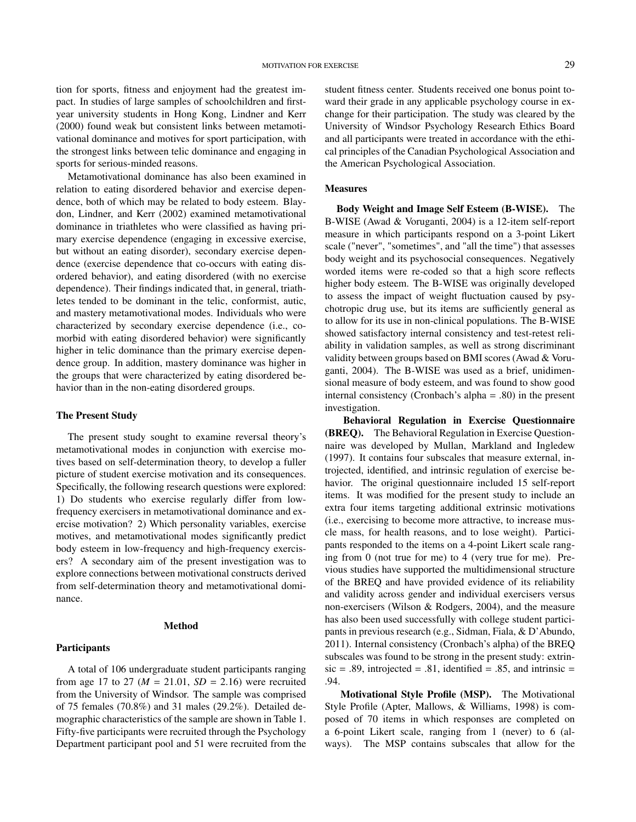tion for sports, fitness and enjoyment had the greatest impact. In studies of large samples of schoolchildren and firstyear university students in Hong Kong, Lindner and Kerr (2000) found weak but consistent links between metamotivational dominance and motives for sport participation, with the strongest links between telic dominance and engaging in

Metamotivational dominance has also been examined in relation to eating disordered behavior and exercise dependence, both of which may be related to body esteem. Blaydon, Lindner, and Kerr (2002) examined metamotivational dominance in triathletes who were classified as having primary exercise dependence (engaging in excessive exercise, but without an eating disorder), secondary exercise dependence (exercise dependence that co-occurs with eating disordered behavior), and eating disordered (with no exercise dependence). Their findings indicated that, in general, triathletes tended to be dominant in the telic, conformist, autic, and mastery metamotivational modes. Individuals who were characterized by secondary exercise dependence (i.e., comorbid with eating disordered behavior) were significantly higher in telic dominance than the primary exercise dependence group. In addition, mastery dominance was higher in the groups that were characterized by eating disordered behavior than in the non-eating disordered groups.

sports for serious-minded reasons.

#### The Present Study

The present study sought to examine reversal theory's metamotivational modes in conjunction with exercise motives based on self-determination theory, to develop a fuller picture of student exercise motivation and its consequences. Specifically, the following research questions were explored: 1) Do students who exercise regularly differ from lowfrequency exercisers in metamotivational dominance and exercise motivation? 2) Which personality variables, exercise motives, and metamotivational modes significantly predict body esteem in low-frequency and high-frequency exercisers? A secondary aim of the present investigation was to explore connections between motivational constructs derived from self-determination theory and metamotivational dominance.

#### Method

#### **Participants**

A total of 106 undergraduate student participants ranging from age 17 to 27 ( $M = 21.01$ ,  $SD = 2.16$ ) were recruited from the University of Windsor. The sample was comprised of 75 females (70.8%) and 31 males (29.2%). Detailed demographic characteristics of the sample are shown in Table 1. Fifty-five participants were recruited through the Psychology Department participant pool and 51 were recruited from the student fitness center. Students received one bonus point toward their grade in any applicable psychology course in exchange for their participation. The study was cleared by the University of Windsor Psychology Research Ethics Board and all participants were treated in accordance with the ethical principles of the Canadian Psychological Association and the American Psychological Association.

#### **Measures**

Body Weight and Image Self Esteem (B-WISE). The B-WISE (Awad & Voruganti, 2004) is a 12-item self-report measure in which participants respond on a 3-point Likert scale ("never", "sometimes", and "all the time") that assesses body weight and its psychosocial consequences. Negatively worded items were re-coded so that a high score reflects higher body esteem. The B-WISE was originally developed to assess the impact of weight fluctuation caused by psychotropic drug use, but its items are sufficiently general as to allow for its use in non-clinical populations. The B-WISE showed satisfactory internal consistency and test-retest reliability in validation samples, as well as strong discriminant validity between groups based on BMI scores (Awad & Voruganti, 2004). The B-WISE was used as a brief, unidimensional measure of body esteem, and was found to show good internal consistency (Cronbach's alpha = .80) in the present investigation.

Behavioral Regulation in Exercise Questionnaire (BREQ). The Behavioral Regulation in Exercise Questionnaire was developed by Mullan, Markland and Ingledew (1997). It contains four subscales that measure external, introjected, identified, and intrinsic regulation of exercise behavior. The original questionnaire included 15 self-report items. It was modified for the present study to include an extra four items targeting additional extrinsic motivations (i.e., exercising to become more attractive, to increase muscle mass, for health reasons, and to lose weight). Participants responded to the items on a 4-point Likert scale ranging from 0 (not true for me) to 4 (very true for me). Previous studies have supported the multidimensional structure of the BREQ and have provided evidence of its reliability and validity across gender and individual exercisers versus non-exercisers (Wilson & Rodgers, 2004), and the measure has also been used successfully with college student participants in previous research (e.g., Sidman, Fiala, & D'Abundo, 2011). Internal consistency (Cronbach's alpha) of the BREQ subscales was found to be strong in the present study: extrin- $\text{sic} = .89$ , introjected = .81, identified = .85, and intrinsic = .94.

Motivational Style Profile (MSP). The Motivational Style Profile (Apter, Mallows, & Williams, 1998) is composed of 70 items in which responses are completed on a 6-point Likert scale, ranging from 1 (never) to 6 (always). The MSP contains subscales that allow for the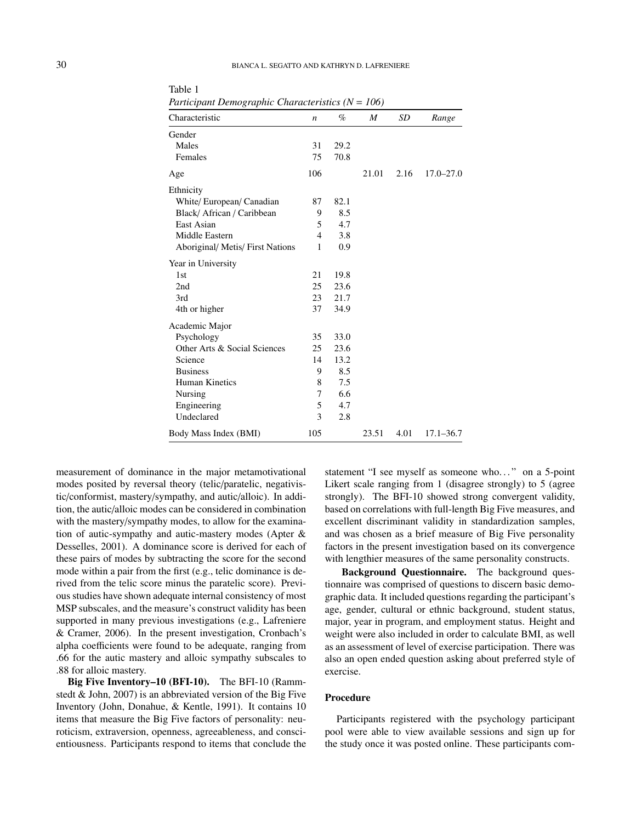#### 30 BIANCA L. SEGATTO AND KATHRYN D. LAFRENIERE

| Characteristic                   | $\boldsymbol{n}$ | $\%$ | $\boldsymbol{M}$ | SD   | Range         |
|----------------------------------|------------------|------|------------------|------|---------------|
| Gender                           |                  |      |                  |      |               |
| Males                            | 31               | 29.2 |                  |      |               |
| Females                          | 75               | 70.8 |                  |      |               |
| Age                              | 106              |      | 21.01            | 2.16 | $17.0 - 27.0$ |
| Ethnicity                        |                  |      |                  |      |               |
| White/European/Canadian          | 87               | 82.1 |                  |      |               |
| Black/African/Caribbean          | 9                | 8.5  |                  |      |               |
| East Asian                       | 5                | 4.7  |                  |      |               |
| Middle Eastern                   | 4                | 3.8  |                  |      |               |
| Aboriginal/ Metis/ First Nations | 1                | 0.9  |                  |      |               |
| Year in University               |                  |      |                  |      |               |
| 1st                              | 21               | 19.8 |                  |      |               |
| 2nd                              | 25               | 23.6 |                  |      |               |
| 3rd                              | 23               | 21.7 |                  |      |               |
| 4th or higher                    | 37               | 34.9 |                  |      |               |
| Academic Major                   |                  |      |                  |      |               |
| Psychology                       | 35               | 33.0 |                  |      |               |
| Other Arts & Social Sciences     | 25               | 23.6 |                  |      |               |
| Science                          | 14               | 13.2 |                  |      |               |
| <b>Business</b>                  | 9                | 8.5  |                  |      |               |
| <b>Human Kinetics</b>            | 8                | 7.5  |                  |      |               |
| Nursing                          | 7                | 6.6  |                  |      |               |
| Engineering                      | 5                | 4.7  |                  |      |               |
| Undeclared                       | 3                | 2.8  |                  |      |               |
| Body Mass Index (BMI)            | 105              |      | 23.51            | 4.01 | $17.1 - 36.7$ |

Table 1 *Participant Demographic Characteristics (N* = *106)*

measurement of dominance in the major metamotivational modes posited by reversal theory (telic/paratelic, negativistic/conformist, mastery/sympathy, and autic/alloic). In addition, the autic/alloic modes can be considered in combination with the mastery/sympathy modes, to allow for the examination of autic-sympathy and autic-mastery modes (Apter & Desselles, 2001). A dominance score is derived for each of these pairs of modes by subtracting the score for the second mode within a pair from the first (e.g., telic dominance is derived from the telic score minus the paratelic score). Previous studies have shown adequate internal consistency of most MSP subscales, and the measure's construct validity has been supported in many previous investigations (e.g., Lafreniere & Cramer, 2006). In the present investigation, Cronbach's alpha coefficients were found to be adequate, ranging from .66 for the autic mastery and alloic sympathy subscales to .88 for alloic mastery.

Big Five Inventory–10 (BFI-10). The BFI-10 (Rammstedt & John, 2007) is an abbreviated version of the Big Five Inventory (John, Donahue, & Kentle, 1991). It contains 10 items that measure the Big Five factors of personality: neuroticism, extraversion, openness, agreeableness, and conscientiousness. Participants respond to items that conclude the statement "I see myself as someone who..." on a 5-point Likert scale ranging from 1 (disagree strongly) to 5 (agree strongly). The BFI-10 showed strong convergent validity, based on correlations with full-length Big Five measures, and excellent discriminant validity in standardization samples, and was chosen as a brief measure of Big Five personality factors in the present investigation based on its convergence with lengthier measures of the same personality constructs.

Background Questionnaire. The background questionnaire was comprised of questions to discern basic demographic data. It included questions regarding the participant's age, gender, cultural or ethnic background, student status, major, year in program, and employment status. Height and weight were also included in order to calculate BMI, as well as an assessment of level of exercise participation. There was also an open ended question asking about preferred style of exercise.

#### Procedure

Participants registered with the psychology participant pool were able to view available sessions and sign up for the study once it was posted online. These participants com-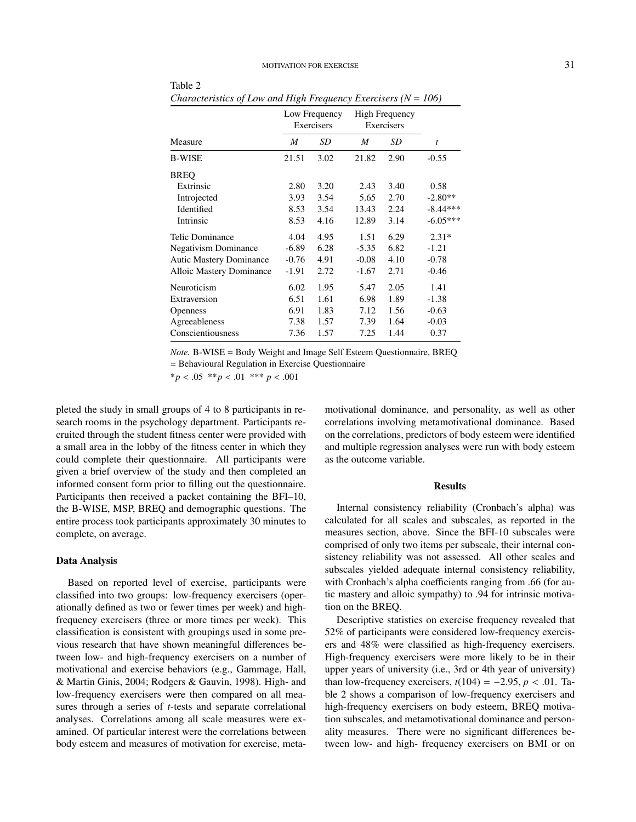|                                | Low Frequency<br>Exercisers |      | <b>High Frequency</b><br>Exercisers |      |            |
|--------------------------------|-----------------------------|------|-------------------------------------|------|------------|
| Measure                        | M                           | SD   | M                                   | SD   | t          |
| <b>B-WISE</b>                  | 21.51                       | 3.02 | 21.82                               | 2.90 | $-0.55$    |
| <b>BREO</b>                    |                             |      |                                     |      |            |
| Extrinsic                      | 2.80                        | 3.20 | 2.43                                | 3.40 | 0.58       |
| Introjected                    | 3.93                        | 3.54 | 5.65                                | 2.70 | $-2.80**$  |
| Identified                     | 8.53                        | 3.54 | 13.43                               | 2.24 | $-8.44***$ |
| Intrinsic                      | 8.53                        | 4.16 | 12.89                               | 3.14 | $-6.05***$ |
| Telic Dominance                | 4.04                        | 4.95 | 1.51                                | 6.29 | $2.31*$    |
| <b>Negativism Dominance</b>    | $-6.89$                     | 6.28 | $-5.35$                             | 6.82 | $-1.21$    |
| <b>Autic Mastery Dominance</b> | $-0.76$                     | 4.91 | $-0.08$                             | 4.10 | $-0.78$    |
| Alloic Mastery Dominance       | $-1.91$                     | 2.72 | $-1.67$                             | 2.71 | $-0.46$    |
| Neuroticism                    | 6.02                        | 1.95 | 5.47                                | 2.05 | 1.41       |
| Extraversion                   | 6.51                        | 1.61 | 6.98                                | 1.89 | $-1.38$    |
| <b>Openness</b>                | 6.91                        | 1.83 | 7.12                                | 1.56 | $-0.63$    |
| Agreeableness                  | 7.38                        | 1.57 | 7.39                                | 1.64 | $-0.03$    |
| Conscientiousness              | 7.36                        | 1.57 | 7.25                                | 1.44 | 0.37       |

*Characteristics of Low and High Frequency Exercisers (N* = *106)*

*Note.* B-WISE = Body Weight and Image Self Esteem Questionnaire, BREQ = Behavioural Regulation in Exercise Questionnaire

\**<sup>p</sup>* < .05 \*\**<sup>p</sup>* < .01 \*\*\* *<sup>p</sup>* < .<sup>001</sup>

pleted the study in small groups of 4 to 8 participants in research rooms in the psychology department. Participants recruited through the student fitness center were provided with a small area in the lobby of the fitness center in which they could complete their questionnaire. All participants were given a brief overview of the study and then completed an informed consent form prior to filling out the questionnaire. Participants then received a packet containing the BFI–10, the B-WISE, MSP, BREQ and demographic questions. The entire process took participants approximately 30 minutes to complete, on average.

Table 2

#### Data Analysis

Based on reported level of exercise, participants were classified into two groups: low-frequency exercisers (operationally defined as two or fewer times per week) and highfrequency exercisers (three or more times per week). This classification is consistent with groupings used in some previous research that have shown meaningful differences between low- and high-frequency exercisers on a number of motivational and exercise behaviors (e.g., Gammage, Hall, & Martin Ginis, 2004; Rodgers & Gauvin, 1998). High- and low-frequency exercisers were then compared on all measures through a series of *t*-tests and separate correlational analyses. Correlations among all scale measures were examined. Of particular interest were the correlations between body esteem and measures of motivation for exercise, metamotivational dominance, and personality, as well as other correlations involving metamotivational dominance. Based on the correlations, predictors of body esteem were identified and multiple regression analyses were run with body esteem as the outcome variable.

#### **Results**

Internal consistency reliability (Cronbach's alpha) was calculated for all scales and subscales, as reported in the measures section, above. Since the BFI-10 subscales were comprised of only two items per subscale, their internal consistency reliability was not assessed. All other scales and subscales yielded adequate internal consistency reliability, with Cronbach's alpha coefficients ranging from .66 (for autic mastery and alloic sympathy) to .94 for intrinsic motivation on the BREQ.

Descriptive statistics on exercise frequency revealed that 52% of participants were considered low-frequency exercisers and 48% were classified as high-frequency exercisers. High-frequency exercisers were more likely to be in their upper years of university (i.e., 3rd or 4th year of university) than low-frequency exercisers,  $t(104) = -2.95$ ,  $p < .01$ . Table 2 shows a comparison of low-frequency exercisers and high-frequency exercisers on body esteem, BREQ motivation subscales, and metamotivational dominance and personality measures. There were no significant differences between low- and high- frequency exercisers on BMI or on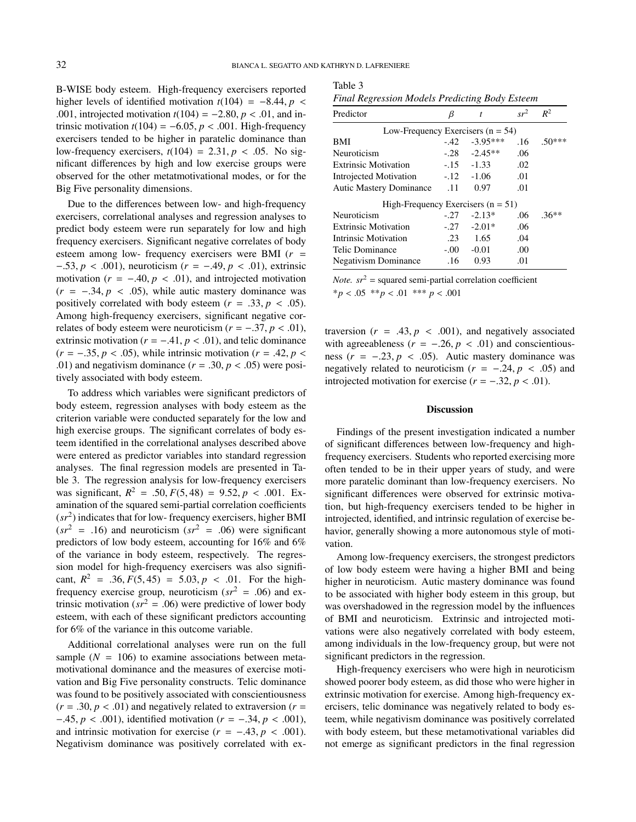$T_{21}1.1.3$ 

B-WISE body esteem. High-frequency exercisers reported higher levels of identified motivation  $t(104) = -8.44$ ,  $p <$ .001, introjected motivation *<sup>t</sup>*(104) <sup>=</sup> <sup>−</sup>2.80, *<sup>p</sup>* < .01, and intrinsic motivation  $t(104) = -6.05$ ,  $p < .001$ . High-frequency exercisers tended to be higher in paratelic dominance than low-frequency exercisers,  $t(104) = 2.31$ ,  $p < .05$ . No significant differences by high and low exercise groups were observed for the other metatmotivational modes, or for the Big Five personality dimensions.

Due to the differences between low- and high-frequency exercisers, correlational analyses and regression analyses to predict body esteem were run separately for low and high frequency exercisers. Significant negative correlates of body esteem among low- frequency exercisers were BMI (*r* = <sup>−</sup>.53, *<sup>p</sup>* < .001), neuroticism (*<sup>r</sup>* <sup>=</sup> <sup>−</sup>.49, *<sup>p</sup>* < .01), extrinsic motivation  $(r = -.40, p < .01)$ , and introjected motivation  $(r = -.34, p < .05)$ , while autic mastery dominance was positively correlated with body esteem  $(r = .33, p < .05)$ . Among high-frequency exercisers, significant negative correlates of body esteem were neuroticism  $(r = -.37, p < .01)$ , extrinsic motivation ( $r = -.41$ ,  $p < .01$ ), and telic dominance  $(r = -.35, p < .05)$ , while intrinsic motivation  $(r = .42, p <$ .01) and negativism dominance  $(r = .30, p < .05)$  were positively associated with body esteem.

To address which variables were significant predictors of body esteem, regression analyses with body esteem as the criterion variable were conducted separately for the low and high exercise groups. The significant correlates of body esteem identified in the correlational analyses described above were entered as predictor variables into standard regression analyses. The final regression models are presented in Table 3. The regression analysis for low-frequency exercisers was significant,  $R^2 = .50, F(5, 48) = 9.52, p < .001$ . Ex-<br>amination of the squared semi-partial correlation coefficients amination of the squared semi-partial correlation coefficients (*sr*<sup>2</sup> ) indicates that for low- frequency exercisers, higher BMI  $(sr^{2} = .16)$  and neuroticism  $(sr^{2} = .06)$  were significant predictors of low body esteem, accounting for 16% and 6% of the variance in body esteem, respectively. The regression model for high-frequency exercisers was also significant,  $R^2 = .36, F(5, 45) = 5.03, p < .01$ . For the high-<br>frequency exercise group neuroticism  $(r^2 - 06)$  and exfrequency exercise group, neuroticism  $(sr^2 = .06)$  and extrinsic motivation ( $sr^2 = .06$ ) were predictive of lower body esteem, with each of these significant predictors accounting for 6% of the variance in this outcome variable.

Additional correlational analyses were run on the full sample  $(N = 106)$  to examine associations between metamotivational dominance and the measures of exercise motivation and Big Five personality constructs. Telic dominance was found to be positively associated with conscientiousness  $(r = .30, p < .01)$  and negatively related to extraversion  $(r =$ <sup>−</sup>.45, *<sup>p</sup>* < .001), identified motivation (*<sup>r</sup>* <sup>=</sup> <sup>−</sup>.34, *<sup>p</sup>* < .001), and intrinsic motivation for exercise  $(r = -.43, p < .001)$ . Negativism dominance was positively correlated with ex-

| rapie 5 |                                                       |  |  |
|---------|-------------------------------------------------------|--|--|
|         | <b>Final Regression Models Predicting Body Esteem</b> |  |  |

| Predictor                            | B       | t               | $sr^2$ | $R^2$    |
|--------------------------------------|---------|-----------------|--------|----------|
| Low-Frequency Exercisers $(n = 54)$  |         |                 |        |          |
| <b>BMI</b>                           | -.42    | $-3.95***$      | .16    | $.50***$ |
| Neuroticism                          | $-.28$  | $-2.45**$       | .06    |          |
| <b>Extrinsic Motivation</b>          |         | $-15 - 1.33$    | .02    |          |
| Introjected Motivation               |         | $-.12$ $-.1.06$ | .01    |          |
| Autic Mastery Dominance 11           |         | 0.97            | .01    |          |
| High-Frequency Exercisers $(n = 51)$ |         |                 |        |          |
| Neuroticism                          | $-27$   | $-2.13*$        | .06    | $.36**$  |
| <b>Extrinsic Motivation</b>          | $-.27$  | $-2.01*$        | .06    |          |
| Intrinsic Motivation                 | $.23 -$ | 1.65            | .04    |          |
| Telic Dominance                      | $-0.00$ | $-0.01$         | .00    |          |
| <b>Negativism Dominance</b>          | .16     | 0.93            | .01    |          |

*Note.*  $sr^2$  = squared semi-partial correlation coefficient \**<sup>p</sup>* < .05 \*\**<sup>p</sup>* < .01 \*\*\* *<sup>p</sup>* < .<sup>001</sup>

traversion  $(r = .43, p < .001)$ , and negatively associated with agreeableness ( $r = -.26$ ,  $p < .01$ ) and conscientiousness (*<sup>r</sup>* <sup>=</sup> <sup>−</sup>.23, *<sup>p</sup>* < .05). Autic mastery dominance was negatively related to neuroticism ( $r = -.24, p < .05$ ) and introjected motivation for exercise  $(r = -.32, p < .01)$ .

#### Discussion

Findings of the present investigation indicated a number of significant differences between low-frequency and highfrequency exercisers. Students who reported exercising more often tended to be in their upper years of study, and were more paratelic dominant than low-frequency exercisers. No significant differences were observed for extrinsic motivation, but high-frequency exercisers tended to be higher in introjected, identified, and intrinsic regulation of exercise behavior, generally showing a more autonomous style of motivation.

Among low-frequency exercisers, the strongest predictors of low body esteem were having a higher BMI and being higher in neuroticism. Autic mastery dominance was found to be associated with higher body esteem in this group, but was overshadowed in the regression model by the influences of BMI and neuroticism. Extrinsic and introjected motivations were also negatively correlated with body esteem, among individuals in the low-frequency group, but were not significant predictors in the regression.

High-frequency exercisers who were high in neuroticism showed poorer body esteem, as did those who were higher in extrinsic motivation for exercise. Among high-frequency exercisers, telic dominance was negatively related to body esteem, while negativism dominance was positively correlated with body esteem, but these metamotivational variables did not emerge as significant predictors in the final regression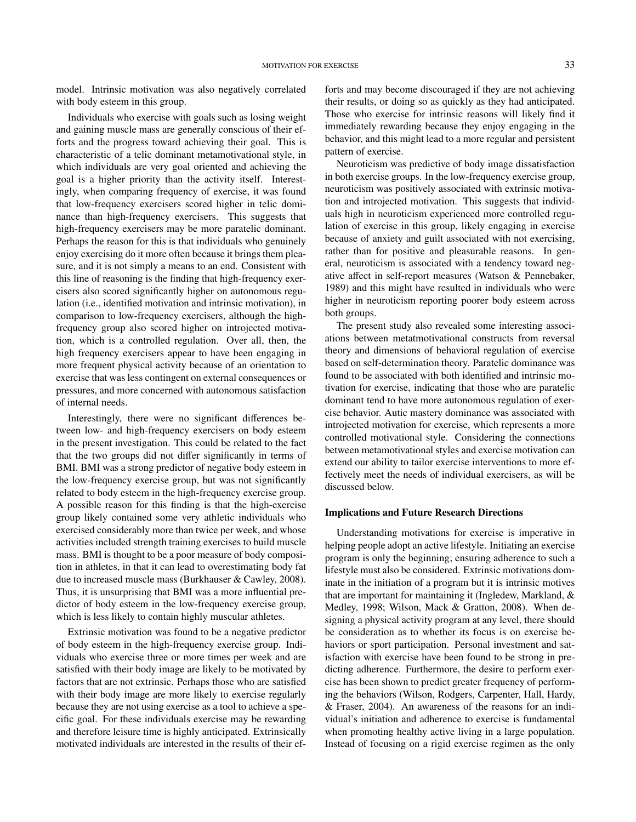model. Intrinsic motivation was also negatively correlated with body esteem in this group.

Individuals who exercise with goals such as losing weight and gaining muscle mass are generally conscious of their efforts and the progress toward achieving their goal. This is characteristic of a telic dominant metamotivational style, in which individuals are very goal oriented and achieving the goal is a higher priority than the activity itself. Interestingly, when comparing frequency of exercise, it was found that low-frequency exercisers scored higher in telic dominance than high-frequency exercisers. This suggests that high-frequency exercisers may be more paratelic dominant. Perhaps the reason for this is that individuals who genuinely enjoy exercising do it more often because it brings them pleasure, and it is not simply a means to an end. Consistent with this line of reasoning is the finding that high-frequency exercisers also scored significantly higher on autonomous regulation (i.e., identified motivation and intrinsic motivation), in comparison to low-frequency exercisers, although the highfrequency group also scored higher on introjected motivation, which is a controlled regulation. Over all, then, the high frequency exercisers appear to have been engaging in more frequent physical activity because of an orientation to exercise that was less contingent on external consequences or pressures, and more concerned with autonomous satisfaction of internal needs.

Interestingly, there were no significant differences between low- and high-frequency exercisers on body esteem in the present investigation. This could be related to the fact that the two groups did not differ significantly in terms of BMI. BMI was a strong predictor of negative body esteem in the low-frequency exercise group, but was not significantly related to body esteem in the high-frequency exercise group. A possible reason for this finding is that the high-exercise group likely contained some very athletic individuals who exercised considerably more than twice per week, and whose activities included strength training exercises to build muscle mass. BMI is thought to be a poor measure of body composition in athletes, in that it can lead to overestimating body fat due to increased muscle mass (Burkhauser & Cawley, 2008). Thus, it is unsurprising that BMI was a more influential predictor of body esteem in the low-frequency exercise group, which is less likely to contain highly muscular athletes.

Extrinsic motivation was found to be a negative predictor of body esteem in the high-frequency exercise group. Individuals who exercise three or more times per week and are satisfied with their body image are likely to be motivated by factors that are not extrinsic. Perhaps those who are satisfied with their body image are more likely to exercise regularly because they are not using exercise as a tool to achieve a specific goal. For these individuals exercise may be rewarding and therefore leisure time is highly anticipated. Extrinsically motivated individuals are interested in the results of their efforts and may become discouraged if they are not achieving their results, or doing so as quickly as they had anticipated. Those who exercise for intrinsic reasons will likely find it immediately rewarding because they enjoy engaging in the behavior, and this might lead to a more regular and persistent pattern of exercise.

Neuroticism was predictive of body image dissatisfaction in both exercise groups. In the low-frequency exercise group, neuroticism was positively associated with extrinsic motivation and introjected motivation. This suggests that individuals high in neuroticism experienced more controlled regulation of exercise in this group, likely engaging in exercise because of anxiety and guilt associated with not exercising, rather than for positive and pleasurable reasons. In general, neuroticism is associated with a tendency toward negative affect in self-report measures (Watson & Pennebaker, 1989) and this might have resulted in individuals who were higher in neuroticism reporting poorer body esteem across both groups.

The present study also revealed some interesting associations between metatmotivational constructs from reversal theory and dimensions of behavioral regulation of exercise based on self-determination theory. Paratelic dominance was found to be associated with both identified and intrinsic motivation for exercise, indicating that those who are paratelic dominant tend to have more autonomous regulation of exercise behavior. Autic mastery dominance was associated with introjected motivation for exercise, which represents a more controlled motivational style. Considering the connections between metamotivational styles and exercise motivation can extend our ability to tailor exercise interventions to more effectively meet the needs of individual exercisers, as will be discussed below.

#### Implications and Future Research Directions

Understanding motivations for exercise is imperative in helping people adopt an active lifestyle. Initiating an exercise program is only the beginning; ensuring adherence to such a lifestyle must also be considered. Extrinsic motivations dominate in the initiation of a program but it is intrinsic motives that are important for maintaining it (Ingledew, Markland, & Medley, 1998; Wilson, Mack & Gratton, 2008). When designing a physical activity program at any level, there should be consideration as to whether its focus is on exercise behaviors or sport participation. Personal investment and satisfaction with exercise have been found to be strong in predicting adherence. Furthermore, the desire to perform exercise has been shown to predict greater frequency of performing the behaviors (Wilson, Rodgers, Carpenter, Hall, Hardy, & Fraser, 2004). An awareness of the reasons for an individual's initiation and adherence to exercise is fundamental when promoting healthy active living in a large population. Instead of focusing on a rigid exercise regimen as the only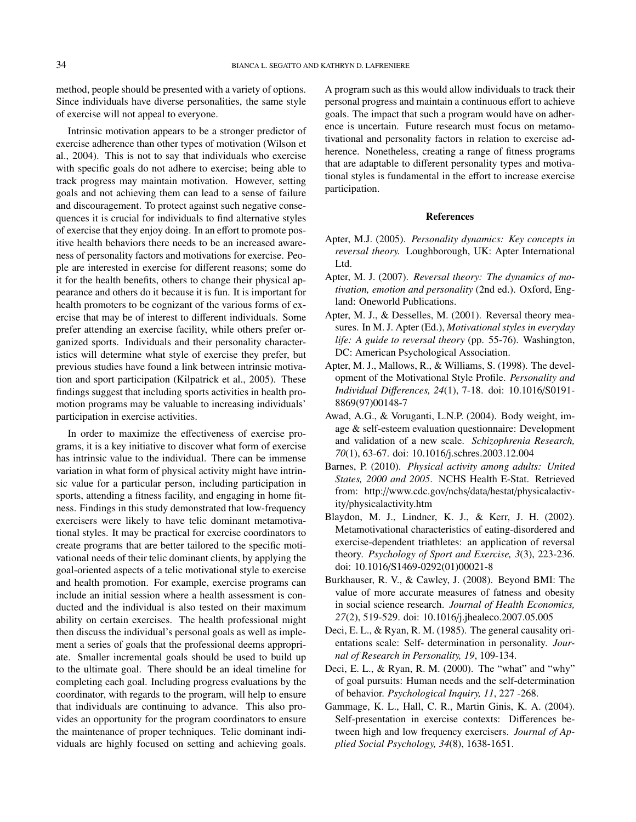method, people should be presented with a variety of options. Since individuals have diverse personalities, the same style of exercise will not appeal to everyone.

Intrinsic motivation appears to be a stronger predictor of exercise adherence than other types of motivation (Wilson et al., 2004). This is not to say that individuals who exercise with specific goals do not adhere to exercise; being able to track progress may maintain motivation. However, setting goals and not achieving them can lead to a sense of failure and discouragement. To protect against such negative consequences it is crucial for individuals to find alternative styles of exercise that they enjoy doing. In an effort to promote positive health behaviors there needs to be an increased awareness of personality factors and motivations for exercise. People are interested in exercise for different reasons; some do it for the health benefits, others to change their physical appearance and others do it because it is fun. It is important for health promoters to be cognizant of the various forms of exercise that may be of interest to different individuals. Some prefer attending an exercise facility, while others prefer organized sports. Individuals and their personality characteristics will determine what style of exercise they prefer, but previous studies have found a link between intrinsic motivation and sport participation (Kilpatrick et al., 2005). These findings suggest that including sports activities in health promotion programs may be valuable to increasing individuals' participation in exercise activities.

In order to maximize the effectiveness of exercise programs, it is a key initiative to discover what form of exercise has intrinsic value to the individual. There can be immense variation in what form of physical activity might have intrinsic value for a particular person, including participation in sports, attending a fitness facility, and engaging in home fitness. Findings in this study demonstrated that low-frequency exercisers were likely to have telic dominant metamotivational styles. It may be practical for exercise coordinators to create programs that are better tailored to the specific motivational needs of their telic dominant clients, by applying the goal-oriented aspects of a telic motivational style to exercise and health promotion. For example, exercise programs can include an initial session where a health assessment is conducted and the individual is also tested on their maximum ability on certain exercises. The health professional might then discuss the individual's personal goals as well as implement a series of goals that the professional deems appropriate. Smaller incremental goals should be used to build up to the ultimate goal. There should be an ideal timeline for completing each goal. Including progress evaluations by the coordinator, with regards to the program, will help to ensure that individuals are continuing to advance. This also provides an opportunity for the program coordinators to ensure the maintenance of proper techniques. Telic dominant individuals are highly focused on setting and achieving goals.

A program such as this would allow individuals to track their personal progress and maintain a continuous effort to achieve goals. The impact that such a program would have on adherence is uncertain. Future research must focus on metamotivational and personality factors in relation to exercise adherence. Nonetheless, creating a range of fitness programs that are adaptable to different personality types and motivational styles is fundamental in the effort to increase exercise participation.

#### References

- Apter, M.J. (2005). *Personality dynamics: Key concepts in reversal theory.* Loughborough, UK: Apter International Ltd.
- Apter, M. J. (2007). *Reversal theory: The dynamics of motivation, emotion and personality* (2nd ed.). Oxford, England: Oneworld Publications.
- Apter, M. J., & Desselles, M. (2001). Reversal theory measures. In M. J. Apter (Ed.), *Motivational styles in everyday life: A guide to reversal theory* (pp. 55-76). Washington, DC: American Psychological Association.
- Apter, M. J., Mallows, R., & Williams, S. (1998). The development of the Motivational Style Profile. *Personality and Individual Di*ff*erences, 24*(1), 7-18. doi: 10.1016/S0191- 8869(97)00148-7
- Awad, A.G., & Voruganti, L.N.P. (2004). Body weight, image & self-esteem evaluation questionnaire: Development and validation of a new scale. *Schizophrenia Research, 70*(1), 63-67. doi: 10.1016/j.schres.2003.12.004
- Barnes, P. (2010). *Physical activity among adults: United States, 2000 and 2005*. NCHS Health E-Stat. Retrieved from: http://www.cdc.gov/nchs/data/hestat/physicalactivity/physicalactivity.htm
- Blaydon, M. J., Lindner, K. J., & Kerr, J. H. (2002). Metamotivational characteristics of eating-disordered and exercise-dependent triathletes: an application of reversal theory. *Psychology of Sport and Exercise, 3*(3), 223-236. doi: 10.1016/S1469-0292(01)00021-8
- Burkhauser, R. V., & Cawley, J. (2008). Beyond BMI: The value of more accurate measures of fatness and obesity in social science research. *Journal of Health Economics, 27*(2), 519-529. doi: 10.1016/j.jhealeco.2007.05.005
- Deci, E. L., & Ryan, R. M. (1985). The general causality orientations scale: Self- determination in personality. *Journal of Research in Personality, 19*, 109-134.
- Deci, E. L., & Ryan, R. M. (2000). The "what" and "why" of goal pursuits: Human needs and the self-determination of behavior. *Psychological Inquiry, 11*, 227 -268.
- Gammage, K. L., Hall, C. R., Martin Ginis, K. A. (2004). Self-presentation in exercise contexts: Differences between high and low frequency exercisers. *Journal of Applied Social Psychology, 34*(8), 1638-1651.